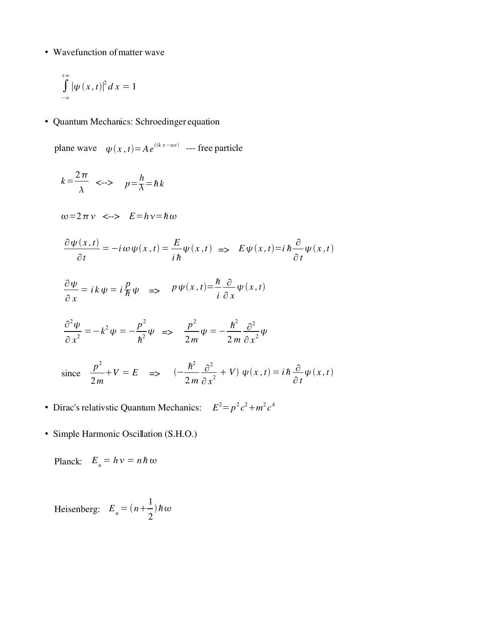• Wavefunction of matter wave

$$
\int_{-\infty}^{+\infty} |\psi(x,t)|^2 dx = 1
$$

• Quantum Mechanics: Schroedinger equation

plane wave  $\psi(x, t) = Ae^{i(kx - \omega t)}$  --- free particle

$$
k = \frac{2\pi}{\lambda} \iff p = \frac{h}{\lambda} = \hbar k
$$
  
\n
$$
\omega = 2\pi \nu \iff E = h\nu = \hbar \omega
$$
  
\n
$$
\frac{\partial \psi(x, t)}{\partial t} = -i\omega \psi(x, t) = \frac{E}{i\hbar} \psi(x, t) \iff E \psi(x, t) = i\hbar \frac{\partial}{\partial t} \psi(x, t)
$$
  
\n
$$
\frac{\partial \psi}{\partial x} = i\kappa \psi = i\frac{p}{\hbar} \psi \iff p\psi(x, t) = \frac{\hbar}{i} \frac{\partial}{\partial x} \psi(x, t)
$$
  
\n
$$
\frac{\partial^2 \psi}{\partial x^2} = -k^2 \psi = -\frac{p^2}{\hbar^2} \psi \iff \frac{p^2}{2m} \psi = -\frac{\hbar^2}{2m} \frac{\partial^2}{\partial x^2} \psi
$$
  
\nsince  $\frac{p^2}{2m} + V = E \iff (-\frac{\hbar^2}{2m} \frac{\partial^2}{\partial x^2} + V) \psi(x, t) = i\hbar \frac{\partial}{\partial t} \psi(x, t)$ 

- Dirac's relativstic Quantum Mechanics:  $E^2 = p^2 c^2 + m^2 c^4$
- Simple Harmonic Oscillation (S.H.O.)

Planck:  $E_n = h v = n \hbar \omega$ 

Heisenberg:  $E_n = (n +$ 1 2  $)\,\hbar\,\omega$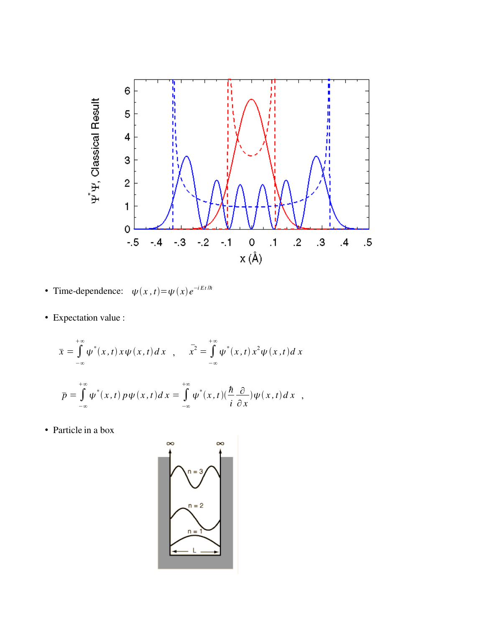

- Time-dependence:  $\psi(x, t) = \psi(x) e^{-iEt/\hbar}$
- Expectation value :

$$
\bar{x} = \int_{-\infty}^{+\infty} \psi^*(x, t) x \psi(x, t) dx , \quad \bar{x}^2 = \int_{-\infty}^{+\infty} \psi^*(x, t) x^2 \psi(x, t) dx
$$

$$
\bar{p} = \int_{-\infty}^{+\infty} \psi^*(x, t) p \psi(x, t) dx = \int_{-\infty}^{+\infty} \psi^*(x, t) (\frac{\hbar}{i} \frac{\partial}{\partial x}) \psi(x, t) dx ,
$$

• Particle in a box